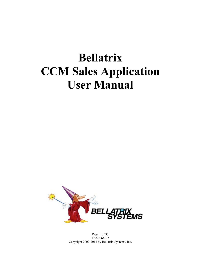# **Bellatrix CCM Sales Application User Manual**



Page 1 of 33 182-0064-02 Copyright 2009-2012 by Bellatrix Systems, Inc.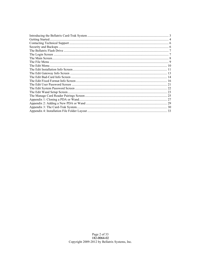| 33 |
|----|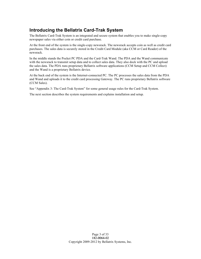# **Introducing the Bellatrix Card-Trak System**

The Bellatrix Card-Trak System is an integrated and secure system that enables you to make single-copy newspaper sales via either coin or credit card purchase.

At the front end of the system is the single-copy newsrack. The newsrack accepts coin as well as credit card purchases. The sales data is securely stored in the Credit Card Module (aka CCM or Card Reader) of the newsrack.

In the middle stands the Pocket PC PDA and the Card-Trak Wand. The PDA and the Wand communicate with the newsrack to transmit setup data and to collect sales data. They also dock with the PC and upload the sales data. The PDA runs proprietary Bellatrix software applications (CCM Setup and CCM Collect) and the Wand is a proprietary Bellatrix device.

At the back end of the system is the Internet-connected PC. The PC processes the sales data from the PDA and Wand and uploads it to the credit card processing Gateway. The PC runs proprietary Bellatrix software (CCM Sales).

See "Appendix 3: The Card-Trak System" for some general usage rules for the Card-Trak System.

The next section describes the system requirements and explains installation and setup.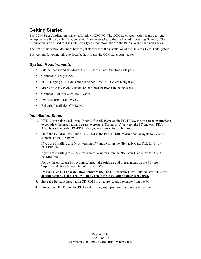# **Getting Started**

The CCM Sales Application runs on a Windows XP/7 PC. The CCM Sales Application is used to send newspaper credit-card sales data, collected from newsracks, to the credit card processing Gateway. The Application is also used to distribute security-related information to the PDAs, Wands and newsracks.

The rest of this section describes how to get started with the installation of the Bellatrix Card-Trak System.

The sections following this one describe how to use the CCM Sales Application.

# *System Requirements*

- Internet-connected Windows XP/7 PC with at least two free USB ports.
- Optional: M3 Sky PDAs.
- PDA charging/USB sync cradle (one per PDA, if PDAs are being used).
- Microsoft ActiveSync Version 4.5 or higher (if PDAs are being used).
- Optional: Bellatrix Card-Trak Wands.
- Two Bellatrix Flash Drives.
- Bellatrix Installation CD-ROM.

#### *Installation Steps*

- 1. If PDAs are being used, install Microsoft ActiveSync on the PC. Follow the on-screen instructions to complete the installation. Be sure to create a "Partnership" between the PC and each PDA. Also, be sure to enable PC/PDA File synchronization for each PDA.
- 2. Place the Bellatrix Installation CD-ROM in the PC's CD-ROM drive and navigate to view the contents of the CD-ROM.

If you are installing to a 64-bit version of Windows, run the "Bellatrix Card-Trak for 64-bit PC.MSI" file.

If you are installing to a 32-bit version of Windows, run the "Bellatrix Card-Trak for 32-bit PC.MSI" file.

Follow the on-screen instructions to install the software and user manuals on the PC (see "Appendix 4: Installation File Folder Layout").

**IMPORTANT: The installation folder MUST be C:\Program Files\Bellatrix\ (which is the default setting). Card-Trak will not work if the installation folder is changed.**

- 3. Store the Bellatrix Installation CD-ROM in a secure location separate from the PC.
- 4. Protect both the PC and the PDAs with strong login passwords and restricted access.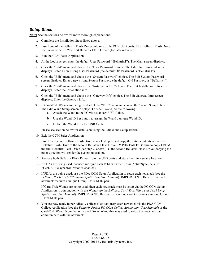#### *Setup Steps*

**Note:** See the sections below for more thorough explanations.

- 1. Complete the Installation Steps listed above.
- 2. Insert one of the Bellatrix Flash Drives into one of the PC's USB ports. This Bellatrix Flash Drive shall now be called "the first Bellatrix Flash Drive" (for later reference).
- 3. Run the CCM Sales Application.
- 4. At the Login screen enter the default User Password ("Bellatrix1"). The Main screen displays.
- 5. Click the "Edit" menu and choose the "User Password" choice. The Edit User Password screen displays. Enter a new strong User Password (the default Old Password is "Bellatrix1").
- 6. Click the "Edit" menu and choose the "System Password" choice. The Edit System Password screen displays. Enter a new strong System Password (the default Old Password is "Bellatrix1").
- 7. Click the "Edit" menu and choose the "Installation Info" choice. The Edit Installation Info screen displays. Enter the Installation info.
- 8. Click the "Edit" menu and choose the "Gateway Info" choice. The Edit Gateway Info screen displays. Enter the Gateway info.
- 9. If Card-Trak Wands are being used, click the "Edit" menu and choose the "Wand Setup" choice. The Edit Wand Setup screen displays. For each Wand, do the following:
	- a. Attach the Wand to the PC via a standard USB Cable.
	- b. Use the Wand ID Set button to assign the Wand a unique Wand ID.
	- c. Detach the Wand from the USB Cable.

Please see section below for details on using the Edit Wand Setup screen.

- 10. Exit the CCM Sales Application.
- 11. Insert the second Bellatrix Flash Drive into a USB port and copy the entire contents of the first Bellatrix Flash Drive to the second Bellatrix Flash Drive. **IMPORTANT:** Be sure to copy FROM the first Bellatrix Flash Drive (see step 2, above) TO the second Bellatrix Flash Drive (copying the other direction will render the system unusable).
- 12. Remove both Bellatrix Flash Drives from the USB ports and store them in a secure location.
- 13. If PDAs are being used, connect and sync each PDA with the PC via ActiveSync (be sure PC/PDA File synchronization is enabled).
- 14. If PDAs are being used, use the PDA CCM Setup Application to setup each newsrack (see the *Bellatrix Pocket PC CCM Setup Application User Manual*). **IMPORTANT:** Be sure that each newsrack receives a unique Group ID/CCM ID pair.

If Card-Trak Wands are being used, then each newsrack must be setup via the PC CCM Setup Application in conjunction with the Wand (see the *Bellatrix Card-Trak Wand and CCM Setup Application User Manual*). **IMPORTANT:** Be sure that each newsrack receives a unique Group ID/CCM ID pair.

15. You are now ready to periodically collect sales data from each newsrack via the PDA CCM Collect Application (see the *Bellatrix Pocket PC CCM Collect Application User Manual*) or the Card-Trak Wand. Note that only the PDA or Wand that was used to setup the newsrack can communicate with the newsrack.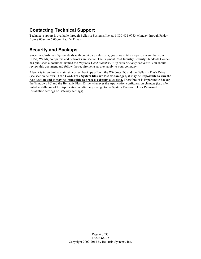# **Contacting Technical Support**

Technical support is available through Bellatrix Systems, Inc. at 1-800-451-9753 Monday through Friday from 8:00am to 5:00pm (Pacific Time).

# **Security and Backups**

Since the Card-Trak System deals with credit card sales data, you should take steps to ensure that your PDAs, Wands, computers and networks are secure. The Payment Card Industry Security Standards Council has published a document named the *Payment Card Industry (PCI) Data Security Standard*. You should review this document and follow the requirements as they apply to your company.

Also, it is important to maintain current backups of both the Windows PC and the Bellatrix Flash Drive (see section below). **If the Card-Trak System files are lost or damaged, it may be impossible to run the Application and it may be impossible to process existing sales data.** Therefore, it is important to backup the Windows PC and the Bellatrix Flash Drive whenever the Application configuration changes (i.e., after initial installation of the Application or after any change to the System Password, User Password, Installation settings or Gateway settings).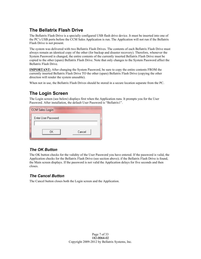# **The Bellatrix Flash Drive**

The Bellatrix Flash Drive is a specially configured USB flash drive device. It must be inserted into one of the PC's USB ports before the CCM Sales Application is run. The Application will not run if the Bellatrix Flash Drive is not present.

The system was delivered with two Bellatrix Flash Drives. The contents of each Bellatrix Flash Drive must always remain an identical copy of the other (for backup and disaster recovery). Therefore, whenever the System Password is changed, the entire contents of the currently inserted Bellatrix Flash Drive must be copied to the other (spare) Bellatrix Flash Drive. Note that only changes to the System Password affect the Bellatrix Flash Drive.

**IMPORTANT:** After changing the System Password, be sure to copy the entire contents FROM the currently inserted Bellatrix Flash Drive TO the other (spare) Bellatrix Flash Drive (copying the other direction will render the system unusable).

When not in use, the Bellatrix Flash Drives should be stored in a secure location separate from the PC.

# **The Login Screen**

The Login screen (see below) displays first when the Application runs. It prompts you for the User Password. After installation, the default User Password is "Bellatrix1".

| <b>CCM Sales Login</b> |        |
|------------------------|--------|
| Enter User Password:   |        |
|                        |        |
| 0K                     | Cancel |

# *The OK Button*

The OK button checks for the validity of the User Password you have entered. If the password is valid, the Application checks for the Bellatrix Flash Drive (see section above); if the Bellatrix Flash Drive is found, the Main screen displays. If the password is not valid the Application delays for five seconds and then closes.

# *The Cancel Button*

The Cancel button closes both the Login screen and the Application.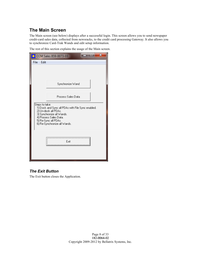# **The Main Screen**

The Main screen (see below) displays after a successful login. This screen allows you to send newspaper credit-card sales data, collected from newsracks, to the credit card processing Gateway. It also allows you to synchronize Card-Trak Wands and edit setup information.

The rest of this section explains the usage of the Main screen.

|                                                                                                                                                                                                            | CCM Sales 859-0073-03 | - | $\mathbf x$ |
|------------------------------------------------------------------------------------------------------------------------------------------------------------------------------------------------------------|-----------------------|---|-------------|
| File<br>Edit                                                                                                                                                                                               |                       |   |             |
|                                                                                                                                                                                                            | Synchronize Wand      |   |             |
|                                                                                                                                                                                                            | Process Sales Data    |   |             |
| Steps to take:<br>1) Dock and Sync all PDAs with File Sync enabled.<br>2) Un-dock all PDAs.<br>3) Synchronize all Wands.<br>4) Process Sales Data.<br>5) Re-Sync all PDAs.<br>6) Re-Synchronize all Wands. |                       |   |             |
|                                                                                                                                                                                                            | Exit                  |   |             |

# *The Exit Button*

The Exit button closes the Application.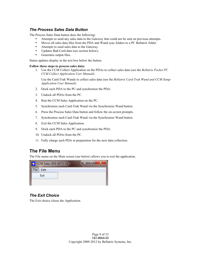#### *The Process Sales Data Button*

The Process Sales Data button does the following:

- Attempts to send any sales data to the Gateway that could not be sent on previous attempts.
- Moves all sales data files from the PDA and Wand sync folders to a PC Bellatrix folder.
- Attempts to send sales data to the Gateway.
- Updates Bad-Card data (see section below).
- Generates output files.

Status updates display in the text box below the button.

#### **Follow these steps to process sales data:**

1. Use the CCM Collect Application on the PDAs to collect sales data (see the *Bellatrix Pocket PC CCM Collect Application User Manual*).

Use the Card-Trak Wands to collect sales data (see the *Bellatrix Card-Trak Wand and CCM Setup Application User Manual*).

- 2. Dock each PDA to the PC and synchronize the PDA.
- 3. Undock all PDAs from the PC.
- 4. Run the CCM Sales Application on the PC.
- 5. Synchronize each Card-Trak Wand via the Synchronize Wand button.
- 6. Press the Process Sales Data button and follow the on-screen prompts.
- 7. Synchronize each Card-Trak Wand via the Synchronize Wand button.
- 8. Exit the CCM Sales Application.
- 9. Dock each PDA to the PC and synchronize the PDA.
- 10. Undock all PDAs from the PC.
- 11. Fully charge each PDA in preparation for the next data collection.

# **The File Menu**

The File menu on the Main screen (see below) allows you to exit the application.



#### *The Exit Choice*

The Exit choice closes the Application.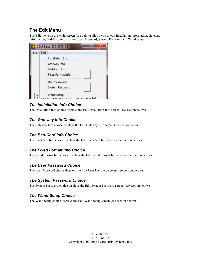# **The Edit Menu**

The Edit menu on the Main screen (see below) allows you to edit Installation information, Gateway information, Bad-Card information, User Password, System Password and Wand setup.



# *The Installation Info Choice*

The Installation Info choice displays the Edit Installation Info screen (see section below).

#### *The Gateway Info Choice*

The Gateway Info choice displays the Edit Gateway Info screen (see section below).

#### *The Bad-Card Info Choice*

The Bad-Card Info choice displays the Edit Bad-Card Info screen (see section below).

# *The Fixed Format Info Choice*

The Fixed Format Info choice displays the Edit Fixed Format Info screen (see section below).

#### *The User Password Choice*

The User Password choice displays the Edit User Password screen (see section below).

#### *The System Password Choice*

The System Password choice displays the Edit System Password screen (see section below).

#### *The Wand Setup Choice*

The Wand Setup choice displays the Edit Wand Setup screen (see section below).

Page 10 of 33 182-0064-02 Copyright 2009-2012 by Bellatrix Systems, Inc.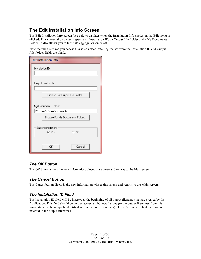# **The Edit Installation Info Screen**

The Edit Installation Info screen (see below) displays when the Installation Info choice on the Edit menu is clicked. This screen allows you to specify an Installation ID, an Output File Folder and a My Documents Folder. It also allows you to turn sale aggregation on or off.

Note that the first time you access this screen after installing the software the Installation ID and Output File Folder fields are blank.

| <b>Edit Installation Info</b>  |        |  |
|--------------------------------|--------|--|
| Installation ID:               |        |  |
|                                |        |  |
| Output File Folder:            |        |  |
|                                |        |  |
| Browse For Output File Folder  |        |  |
|                                |        |  |
| My Documents Folder:           |        |  |
| C:\Users\JDoe\Documents        |        |  |
| Browse For My Documents Folder |        |  |
|                                |        |  |
| Sale Aggregation:              |        |  |
| ⊛ On                           | O Off  |  |
|                                |        |  |
| OΚ                             | Cancel |  |
|                                |        |  |

# *The OK Button*

The OK button stores the new information, closes this screen and returns to the Main screen.

# *The Cancel Button*

The Cancel button discards the new information, closes this screen and returns to the Main screen.

# *The Installation ID Field*

The Installation ID field will be inserted at the beginning of all output filenames that are created by the Application. This field should be unique across all PC installations (so the output filenames from this installation can be uniquely identified across the entire company). If this field is left blank, nothing is inserted in the output filenames.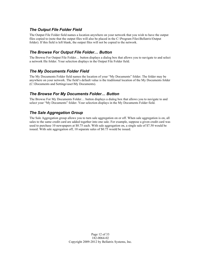## *The Output File Folder Field*

The Output File Folder field names a location anywhere on your network that you wish to have the output files copied to (note that the output files will also be placed in the C:\Program Files\Bellatrix\Output folder). If this field is left blank, the output files will not be copied to the network.

## *The Browse For Output File Folder… Button*

The Browse For Output File Folder… button displays a dialog box that allows you to navigate to and select a network file folder. Your selection displays in the Output File Folder field.

#### *The My Documents Folder Field*

The My Documents Folder field names the location of your "My Documents" folder. The folder may be anywhere on your network. The field's default value is the traditional location of the My Documents folder (C:\Documents and Settings\user\My Documents).

## *The Browse For My Documents Folder… Button*

The Browse For My Documents Folder… button displays a dialog box that allows you to navigate to and select your "My Documents" folder. Your selection displays in the My Documents Folder field.

# *The Sale Aggregation Group*

The Sale Aggregation group allows you to turn sale aggregation on or off. When sale aggregation is on, all sales to the same credit card are added together into one sale. For example, suppose a given credit card was used to purchase 10 newspapers at \$0.75 each. With sale aggregation on, a single sale of \$7.50 would be issued. With sale aggregation off, 10 separate sales of \$0.75 would be issued.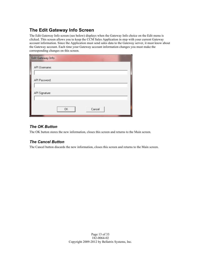# **The Edit Gateway Info Screen**

The Edit Gateway Info screen (see below) displays when the Gateway Info choice on the Edit menu is clicked. This screen allows you to keep the CCM Sales Application in step with your current Gateway account information. Since the Application must send sales data to the Gateway server, it must know about the Gateway account. Each time your Gateway account information changes you must make the corresponding changes on this screen.

| Edit Gateway Info |  |
|-------------------|--|
| API Username:     |  |
| API Password:     |  |
| API Signature:    |  |
| 0K<br>Cancel      |  |

## *The OK Button*

The OK button stores the new information, closes this screen and returns to the Main screen.

#### *The Cancel Button*

The Cancel button discards the new information, closes this screen and returns to the Main screen.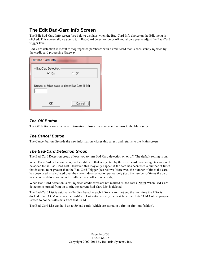# **The Edit Bad-Card Info Screen**

The Edit Bad-Card Info screen (see below) displays when the Bad-Card Info choice on the Edit menu is clicked. This screen allows you to turn Bad-Card detection on or off and allows you to adjust the Bad-Card trigger level.

Bad-Card detection is meant to stop repeated purchases with a credit card that is consistently rejected by the credit card processing Gateway.

| <b>Edit Bad-Card Info</b>                                |  |
|----------------------------------------------------------|--|
| <b>Bad-Card Detection:</b><br>$\circ$ off<br>⊕ On        |  |
| Number of failed sales to trigger Bad Card (1-99):<br>13 |  |
| Cancel<br>0K                                             |  |

# *The OK Button*

The OK button stores the new information, closes this screen and returns to the Main screen.

# *The Cancel Button*

The Cancel button discards the new information, closes this screen and returns to the Main screen.

# *The Bad-Card Detection Group*

The Bad-Card Detection group allows you to turn Bad-Card detection on or off. The default setting is on.

When Bad-Card detection is on, each credit card that is rejected by the credit card processing Gateway will be added to the Bad-Card List. However, this may only happen if the card has been used a number of times that is equal to or greater than the Bad-Card Trigger (see below). Moreover, the number of times the card has been used is calculated over the current data collection period only (i.e., the number of times the card has been used does not include multiple data collection periods).

When Bad-Card detection is off, rejected credit cards are not marked as bad cards. **Note:** When Bad-Card detection is turned from on to off, the current Bad-Card List is deleted.

The Bad-Card List is automatically distributed to each PDA via ActiveSync the next time the PDA is docked. Each CCM receives the Bad-Card List automatically the next time the PDA CCM Collect program is used to collect sales data from that CCM.

The Bad-Card List can hold up to 50 bad cards (which are stored in a first-in-first-out fashion).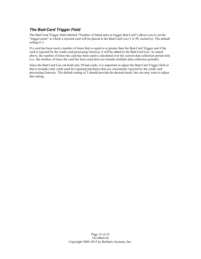## *The Bad-Card Trigger Field*

The Bad-Card Trigger field (labeled "Number of failed sales to trigger Bad Card") allows you to set the "trigger point" at which a rejected card will be placed in the Bad-Card List (1 to 99, inclusive). The default setting is 3.

If a card has been used a number of times that is equal to or greater than the Bad-Card Trigger and if the card is rejected by the credit card processing Gateway it will be added to the Bad-Card List. As stated above, the number of times the card has been used is calculated over the current data collection period only (i.e., the number of times the card has been used does not include multiple data collection periods).

Since the Bad-Card List can hold only 50 bad cards, it is important to adjust the Bad-Card Trigger field so that it includes only cards used for repeated purchases that are consistently rejected by the credit card processing Gateway. The default setting of 3 should provide the desired result, but you may want to adjust this setting.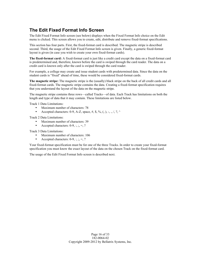# **The Edit Fixed Format Info Screen**

The Edit Fixed Format Info screen (see below) displays when the Fixed Format Info choice on the Edit menu is clicked. This screen allows you to create, edit, distribute and remove fixed-format specifications.

This section has four parts. First, the fixed-format card is described. The magnetic stripe is described second. Third, the usage of the Edit Fixed Format Info screen is given. Finally, a generic fixed-format layout is given (in case you wish to create your own fixed-format cards).

**The fixed-format card:** A fixed-format card is just like a credit card except the data on a fixed-format card is predetermined and, therefore, known before the card is swiped through the card reader. The data on a credit card is known only after the card is swiped through the card reader.

For example, a college may create and issue student cards with predetermined data. Since the data on the student cards is "fixed" ahead of time, these would be considered fixed-format cards.

**The magnetic stripe:** The magnetic stripe is the (usually) black stripe on the back of all credit cards and all fixed-format cards. The magnetic stripe contains the data. Creating a fixed-format specification requires that you understand the layout of the data on the magnetic stripe.

The magnetic stripe contains three rows—called Tracks—of data. Each Track has limitations on both the length and type of data that it may contain. These limitations are listed below.

Track 1 Data Limitations:

- Maximum number of characters: 78
- Accepted characters: 0-9, A-Z, space, #, \$, %, (, ), -, ., /, ?,  $\land$

Track 2 Data Limitations:

- Maximum number of characters: 39
- Accepted characters:  $0-9$ , :, ;, =, ?

Track 3 Data Limitations:

- Maximum number of characters: 106
- Accepted characters:  $0-9$ , :, :, =, ?

Your fixed-format specification must be for one of the three Tracks. In order to create your fixed-format specification you must know the exact layout of the data on the chosen Track on the fixed-format card.

The usage of the Edit Fixed Format Info screen is described next.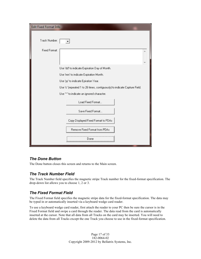| <b>Edit Fixed Format Info</b> |                                                                           |  |
|-------------------------------|---------------------------------------------------------------------------|--|
| Track Number:                 |                                                                           |  |
| <b>Fixed Format:</b>          |                                                                           |  |
|                               | Use 'dd' to indicate Expiration Day of Month.                             |  |
|                               | Use 'mm' to indicate Expiration Month.                                    |  |
|                               | Use 'yy' to indicate Epiration Year.                                      |  |
|                               | Use 'c' (repeated 1 to 26 times, contiguously) to indicate Capture Field. |  |
|                               | Use "" to indicate an ignored character.                                  |  |
|                               | Load Fixed Format                                                         |  |
|                               | Save Fixed Format                                                         |  |
|                               | Copy Displayed Fixed Format to PDAs                                       |  |
|                               | Remove Fixed Format from PDAs                                             |  |
|                               | ∪one                                                                      |  |

# *The Done Button*

The Done button closes this screen and returns to the Main screen.

# *The Track Number Field*

The Track Number field specifies the magnetic stripe Track number for the fixed-format specification. The drop-down list allows you to choose 1, 2 or 3.

# *The Fixed Format Field*

The Fixed Format field specifies the magnetic stripe data for the fixed-format specification. The data may be typed in or automatically inserted via a keyboard wedge card reader.

To use a keyboard wedge card reader, first attach the reader to your PC then be sure the cursor is in the Fixed Format field and swipe a card through the reader. The data read from the card is automatically inserted at the cursor. Note that all data from all Tracks on the card may be inserted. You will need to delete the data from all Tracks except the one Track you choose to use in the fixed-format specification.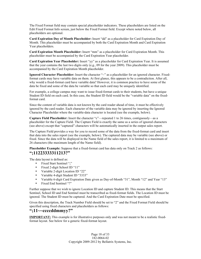The Fixed Format field may contain special placeholder indicators. These placeholders are listed on the Edit Fixed Format Info screen, just below the Fixed Format field. Except where noted below, all placeholders are optional.

**Card Expiration Day of Month Placeholder:** Insert "dd" as a placeholder for Card Expiration Day of Month. This placeholder must be accompanied by both the Card Expiration Month and Card Expiration Year placeholders.

**Card Expiration Month Placeholder:** Insert "mm" as a placeholder for Card Expiration Month. This placeholder must be accompanied by the Card Expiration Year placeholder.

**Card Expiration Year Placeholder:** Insert "yy" as a placeholder for Card Expiration Year. It is assumed that the year contains the last two digits only (e.g., 09 for the year 2009). This placeholder must be accompanied by the Card Expiration Month placeholder.

Ignored Character Placeholder: Insert the character "~" as a placeholder for an ignored character. Fixedformat cards may have variable data on them. At first glance, this appears to be a contradiction. After all, why would a fixed-format card have variable data? However, it is common practice to have some of the data be fixed and some of the data be variable so that each card may be uniquely identified.

For example, a college campus may want to issue fixed-format cards to their students, but have a unique Student ID field on each card. In this case, the Student ID field would be the "variable data" on the fixedformat card.

Since the content of variable data is not known by the card reader ahead of time, it must be effectively ignored by the card reader. Each character of the variable data may be ignored by inserting the Ignored Character Placeholder where the variable-data character is located (see the example, below).

**Capture Field Placeholder:** Insert the character "c"—repeated 1 to 26 times, contiguously—as a placeholder for the Capture Field. The Capture Field is exactly the same as a series of ignored characters (see above) except that "captured" characters will be automatically inserted in the output sales report.

The Capture Field provides a way for you to record some of the data from the fixed-format card and insert that data into the sales report (see the example, below). The captured data may be variable (see above) or fixed. Since the data will be displayed in the Name field of the sales report, it is limited to a maximum of 26 characters (the maximum length of the Name field).

**Placeholder Example:** Suppose that a fixed-format card has data only on Track 2 as follows: **";11223333311213?"**

The data layout is defined as:

- Fixed Start Sentinel ";"
- Fixed 2-digit School ID "11"
- Variable 2-digit Location ID "22"
- Variable 4-digit Student ID "3333"
- Variable 6-digit Card Expiration Date given as Day-of-Month "31", Month "12" and Year "13"
- Fixed End Sentinel "?"

Further suppose that we wish to ignore Location ID and capture Student ID. This means that the Start Sentinel, School ID and End Sentinel must be transcribed as fixed-format fields. The Location ID must be ignored. The Student ID must be captured. And the Card Expiration Date must be specified.

Given this description, the Track Number Field should be set to "2" and the Fixed Format Field should be specified using fixed characters and placeholders as follows:

#### **";11~~ccccddmmyy?"**

**IMPORTANT:** This example is for illustrative purposes only and was not meant to be a realistic fixedformat layout. See below for a generic fixed-format layout.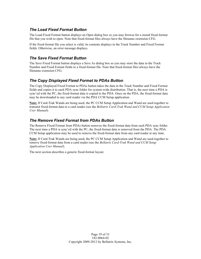## *The Load Fixed Format Button*

The Load Fixed Format button displays an Open dialog box so you may browse for a stored fixed-format file that you wish to open. Note that fixed-format files always have the filename extension CFG.

If the fixed-format file you select is valid, its contents displays in the Track Number and Fixed Format fields. Otherwise, an error message displays.

# *The Save Fixed Format Button*

The Save Fixed Format button displays a Save As dialog box so you may store the data in the Track Number and Fixed Format fields to a fixed-format file. Note that fixed-format files always have the filename extension CFG.

# *The Copy Displayed Fixed Format to PDAs Button*

The Copy Displayed Fixed Format to PDAs button takes the data in the Track Number and Fixed Format fields and copies it to each PDA sync folder for system-wide distribution. That is, the next time a PDA is sync'ed with the PC, the fixed-format data is copied to the PDA. Once on the PDA, the fixed-format data may be downloaded to any card reader via the PDA CCM Setup application.

**Note:** If Card-Trak Wands are being used, the PC CCM Setup Application and Wand are used together to transmit fixed-format data to a card reader (see the *Bellatrix Card-Trak Wand and CCM Setup Application User Manual*).

#### *The Remove Fixed Format from PDAs Button*

The Remove Fixed Format from PDAs button removes the fixed-format data from each PDA sync folder. The next time a PDA is sync'ed with the PC, the fixed-format data is removed from the PDA. The PDA CCM Setup application may be used to remove the fixed-format data from any card reader at any time.

**Note:** If Card-Trak Wands are being used, the PC CCM Setup Application and Wand are used together to remove fixed-format data from a card reader (see the *Bellatrix Card-Trak Wand and CCM Setup Application User Manual*).

The next section describes a generic fixed-format layout.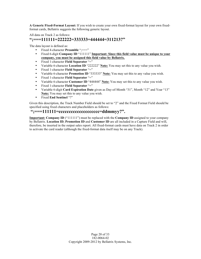**A Generic Fixed-Format Layout:** If you wish to create your own fixed-format layout for your own fixedformat cards, Bellatrix suggests the following generic layout.

All data on Track 2 as follows:

#### **";===111111=222222=333333=444444=311213?"**

The data layout is defined as:

- Fixed 4-character **Preamble** ";==="
- Fixed 6-digit **Company ID** "111111" **Important: Since this field value must be unique to your company, you must be assigned this field value by Bellatrix.**
- Fixed 1-character **Field Separator** "="
- Variable 6-character **Location ID** "222222" **Note:** You may set this to any value you wish.
- Fixed 1-character **Field Separator** "="
- Variable 6-character **Promotion ID** "333333" **Note:** You may set this to any value you wish.
- Fixed 1-character **Field Separator** "="
- Variable 6-character **Customer ID** "444444" **Note:** You may set this to any value you wish.
- Fixed 1-character **Field Separator** "="
- Variable 6-digit **Card Expiration Date** given as Day-of-Month "31", Month "12" and Year "13" **Note:** You may set this to any value you wish.
- Fixed **End Sentinel** "?"

Given this description, the Track Number Field should be set to "2" and the Fixed Format Field should be specified using fixed characters and placeholders as follows:

## **";===111111=cccccccccccccccccccc=ddmmyy?".**

**Important: Company ID** ("111111") must be replaced with the **Company ID** assigned to your company by Bellatrix. **Location ID**, **Promotion ID** and **Customer ID** are all included in a Capture Field and will, therefore, be inserted in the output sales report. All fixed-format cards must have data on Track 2 in order to activate the card reader (although the fixed-format data itself may be on any Track).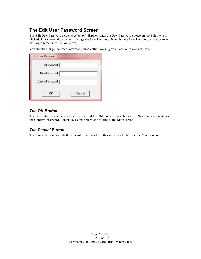# **The Edit User Password Screen**

The Edit User Password screen (see below) displays when the User Password choice on the Edit menu is clicked. This screen allows you to change the User Password. Note that the User Password also appears on the Login screen (see section above).

You should change the User Password periodically—we suggest at least once every 90 days.

| <b>Edit User Password</b> |
|---------------------------|
| Old Password:             |
| New Password:             |
| Confirm Password:         |
| OΚ<br>Cancel              |

## *The OK Button*

The OK button stores the new User Password if the Old Password is valid and the New Password matches the Confirm Password. It then closes this screen and returns to the Main screen.

#### *The Cancel Button*

The Cancel button discards the new information, closes this screen and returns to the Main screen.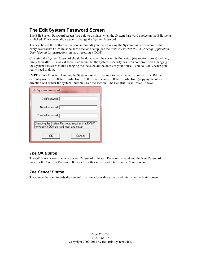# **The Edit System Password Screen**

The Edit System Password screen (see below) displays when the System Password choice on the Edit menu is clicked. This screen allows you to change the System Password.

The text box at the bottom of the screen reminds you that changing the System Password requires that every newsrack's CCM must be hard-reset and setup (see the *Bellatrix Pocket PC CCM Setup Application User Manual* for instructions on hard-resetting a CCM).

Changing the System Password should be done when the system is first setup (see section above) and very rarely thereafter—usually if there is concern that the system's security has been compromised. Changing the System Password is like changing the locks on all the doors of your house—you do it only when you really need to do it.

**IMPORTANT:** After changing the System Password, be sure to copy the entire contents FROM the currently inserted Bellatrix Flash Drive TO the other (spare) Bellatrix Flash Drive (copying the other direction will render the system unusable). See the section "The Bellatrix Flash Drive", above.

| <b>Edit System Password</b>                                                                  |  |  |
|----------------------------------------------------------------------------------------------|--|--|
| Old Password:                                                                                |  |  |
| New Password:                                                                                |  |  |
| Confirm Password:                                                                            |  |  |
| Changing the System Password requires that EVERY<br> newsrack's CCM be hard-reset and setup. |  |  |
| ΠK<br>Cancel                                                                                 |  |  |

# *The OK Button*

The OK button stores the new System Password if the Old Password is valid and the New Password matches the Confirm Password. It then closes this screen and returns to the Main screen.

#### *The Cancel Button*

The Cancel button discards the new information, closes this screen and returns to the Main screen.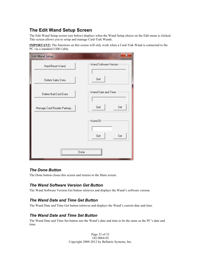# **The Edit Wand Setup Screen**

The Edit Wand Setup screen (see below) displays when the Wand Setup choice on the Edit menu is clicked. This screen allows you to setup and manage Card-Trak Wands.

**IMPORTANT:** The functions on this screen will only work when a Card-Trak Wand is connected to the PC via a standard USB Cable.

| <b>Edit Wand Setup</b>      | $\mathbf x$            |
|-----------------------------|------------------------|
| Hard-Reset Wand             | Wand Software Version: |
| Delete Sales Data           | Get                    |
| Delete Bad-Card Data        | Wand Date and Time:    |
| Manage Card Reader Pairings | Set<br>Get             |
|                             | Wand ID:<br>Set<br>Get |
|                             | Done                   |

#### *The Done Button*

The Done button closes this screen and returns to the Main screen.

# *The Wand Software Version Get Button*

The Wand Software Version Get button retrieves and displays the Wand's software version.

# *The Wand Date and Time Get Button*

The Wand Date and Time Get button retrieves and displays the Wand's current date and time.

# *The Wand Date and Time Set Button*

The Wand Date and Time Set button sets the Wand's date and time to be the same as the PC's date and time.

> Page 23 of 33 182-0064-02 Copyright 2009-2012 by Bellatrix Systems, Inc.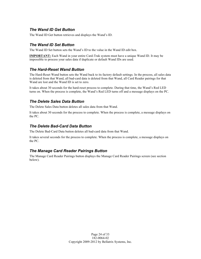## *The Wand ID Get Button*

The Wand ID Get button retrieves and displays the Wand's ID.

## *The Wand ID Set Button*

The Wand ID Set button sets the Wand's ID to the value in the Wand ID edit box.

**IMPORTANT:** Each Wand in your entire Card-Trak system must have a unique Wand ID. It may be impossible to process your sales data if duplicate or default Wand IDs are used.

#### *The Hard-Reset Wand Button*

The Hard-Reset Wand button sets the Wand back to its factory default settings. In the process, all sales data is deleted from that Wand, all bad-card data is deleted from that Wand, all Card Reader pairings for that Wand are lost and the Wand ID is set to zero.

It takes about 30 seconds for the hard-reset process to complete. During that time, the Wand's Red LED turns on. When the process is complete, the Wand's Red LED turns off and a message displays on the PC.

## *The Delete Sales Data Button*

The Delete Sales Data button deletes all sales data from that Wand.

It takes about 30 seconds for the process to complete. When the process is complete, a message displays on the PC.

#### *The Delete Bad-Card Data Button*

The Delete Bad-Card Data button deletes all bad-card data from that Wand.

It takes several seconds for the process to complete. When the process is complete, a message displays on the PC.

# *The Manage Card Reader Pairings Button*

The Manage Card Reader Pairings button displays the Manage Card Reader Pairings screen (see section below).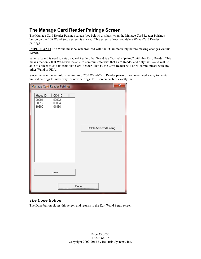# **The Manage Card Reader Pairings Screen**

The Manage Card Reader Pairings screen (see below) displays when the Manage Card Reader Pairings button on the Edit Wand Setup screen is clicked. This screen allows you delete Wand-Card Reader pairings.

**IMPORTANT:** The Wand must be synchronized with the PC immediately before making changes via this screen.

When a Wand is used to setup a Card Reader, that Wand is effectively "paired" with that Card Reader. This means that only that Wand will be able to communicate with that Card Reader and only that Wand will be able to collect sales data from that Card Reader. That is, the Card Reader will NOT communicate with any other Wand or PDA.

Since the Wand may hold a maximum of 200 Wand-Card Reader pairings, you may need a way to delete unused pairings to make way for new pairings. This screen enables exactly that.

| Manage Card Reader Pairings         |                                   | ×                       |  |
|-------------------------------------|-----------------------------------|-------------------------|--|
| Group ID<br>00001<br>00012<br>10900 | CCM ID<br>00002<br>00034<br>01896 | Delete Selected Pairing |  |
|                                     | Save                              |                         |  |
|                                     |                                   | <br>Done                |  |

# *The Done Button*

The Done button closes this screen and returns to the Edit Wand Setup screen.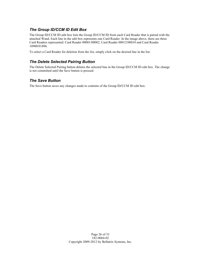## *The Group ID/CCM ID Edit Box*

The Group ID/CCM ID edit box lists the Group ID/CCM ID from each Card Reader that is paired with the attached Wand. Each line in the edit box represents one Card Reader. In the image above, there are three Card Readers represented: Card Reader 00001/00002, Card Reader 00012/00034 and Card Reader 10900/01896.

To select a Card Reader for deletion from the list, simply click on the desired line in the list.

## *The Delete Selected Pairing Button*

The Delete Selected Pairing button deletes the selected line in the Group ID/CCM ID edit box. The change is not committed until the Save button is pressed.

## *The Save Button*

The Save button saves any changes made to contents of the Group ID/CCM ID edit box.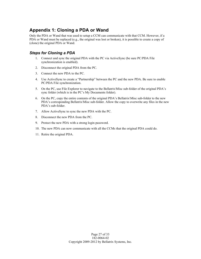# **Appendix 1: Cloning a PDA or Wand**

Only the PDA or Wand that was used to setup a CCM can communicate with that CCM. However, if a PDA or Wand must be replaced (e.g., the original was lost or broken), it is possible to create a copy of (clone) the original PDA or Wand.

## *Steps for Cloning a PDA*

- 1. Connect and sync the original PDA with the PC via ActiveSync (be sure PC/PDA File synchronization is enabled).
- 2. Disconnect the original PDA from the PC.
- 3. Connect the new PDA to the PC.
- 4. Use ActiveSync to create a "Partnership" between the PC and the new PDA. Be sure to enable PC/PDA File synchronization.
- 5. On the PC, use File Explorer to navigate to the Bellatrix\Misc sub-folder of the original PDA's sync folder (which is in the PC's My Documents folder).
- 6. On the PC, copy the entire contents of the original PDA's Bellatrix\Misc sub-folder to the new PDA's corresponding Bellatrix\Misc sub-folder. Allow the copy to overwrite any files in the new PDA's sub-folder.
- 7. Allow ActiveSync to sync the new PDA with the PC.
- 8. Disconnect the new PDA from the PC.
- 9. Protect the new PDA with a strong login password.
- 10. The new PDA can now communicate with all the CCMs that the original PDA could do.
- 11. Retire the original PDA.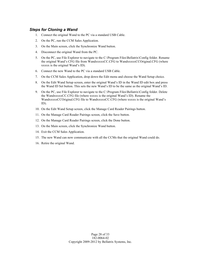#### *Steps for Cloning a Wand*

- 1. Connect the original Wand to the PC via a standard USB Cable.
- 2. On the PC, run the CCM Sales Application.
- 3. On the Main screen, click the Synchronize Wand button.
- 4. Disconnect the original Wand from the PC.
- 5. On the PC, use File Explorer to navigate to the C:\Program Files\Bellatrix\Config folder. Rename the original Wand's CFG file from WandxxxxxCC.CFG to WandxxxxxCCOriginal.CFG (where xxxxx is the original Wand's ID).
- 6. Connect the new Wand to the PC via a standard USB Cable.
- 7. On the CCM Sales Application, drop down the Edit menu and choose the Wand Setup choice.
- 8. On the Edit Wand Setup screen, enter the original Wand's ID in the Wand ID edit box and press the Wand ID Set button. This sets the new Wand's ID to be the same as the original Wand's ID.
- 9. On the PC, use File Explorer to navigate to the C:\Program Files\Bellatrix\Config folder. Delete the WandxxxxxCC.CFG file (where xxxxx is the original Wand's ID). Rename the WandxxxxxCCOriginal.CFG file to WandxxxxxCC.CFG (where xxxxx is the original Wand's ID).
- 10. On the Edit Wand Setup screen, click the Manage Card Reader Pairings button.
- 11. On the Manage Card Reader Pairings screen, click the Save button.
- 12. On the Manage Card Reader Pairings screen, click the Done button.
- 13. On the Main screen, click the Synchronize Wand button.
- 14. Exit the CCM Sales Application.
- 15. The new Wand can now communicate with all the CCMs that the original Wand could do.
- 16. Retire the original Wand.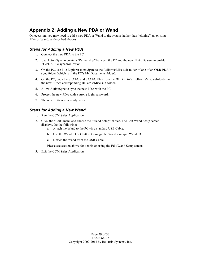# **Appendix 2: Adding a New PDA or Wand**

On occasion, you may need to add a new PDA or Wand to the system (rather than "cloning" an existing PDA or Wand, as described above).

## *Steps for Adding a New PDA*

- 1. Connect the new PDA to the PC.
- 2. Use ActiveSync to create a "Partnership" between the PC and the new PDA. Be sure to enable PC/PDA File synchronization.
- 3. On the PC, use File Explorer to navigate to the Bellatrix\Misc sub-folder of one of an **OLD** PDA's sync folder (which is in the PC's My Documents folder).
- 4. On the PC, copy the S1.CFG and S2.CFG files from the **OLD** PDA's Bellatrix\Misc sub-folder to the new PDA's corresponding Bellatrix\Misc sub-folder.
- 5. Allow ActiveSync to sync the new PDA with the PC.
- 6. Protect the new PDA with a strong login password.
- 7. The new PDA is now ready to use.

#### *Steps for Adding a New Wand*

- 1. Run the CCM Sales Application.
- 2. Click the "Edit" menu and choose the "Wand Setup" choice. The Edit Wand Setup screen displays. Do the following:
	- a. Attach the Wand to the PC via a standard USB Cable.
	- b. Use the Wand ID Set button to assign the Wand a unique Wand ID.
	- c. Detach the Wand from the USB Cable.
	- Please see section above for details on using the Edit Wand Setup screen.
- 3. Exit the CCM Sales Application.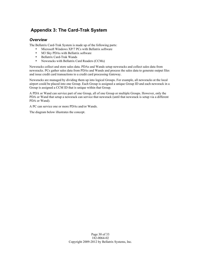# **Appendix 3: The Card-Trak System**

#### *Overview*

The Bellatrix Card-Trak System is made up of the following parts:

- Microsoft Windows XP/7 PCs with Bellatrix software<br>• M3 Sky PDAs with Bellatrix software
- M3 Sky PDAs with Bellatrix software
- Bellatrix Card-Trak Wands
- Newsracks with Bellatrix Card Readers (CCMs)

Newsracks collect and store sales data. PDAs and Wands setup newsracks and collect sales data from newsracks. PCs gather sales data from PDAs and Wands and process the sales data to generate output files and issue credit card transactions to a credit card processing Gateway.

Newsracks are managed by dividing them up into logical Groups. For example, all newsracks at the local airport could be placed into one Group. Each Group is assigned a unique Group ID and each newsrack in a Group is assigned a CCM ID that is unique within that Group.

A PDA or Wand can service part of one Group, all of one Group or multiple Groups. However, only the PDA or Wand that setup a newsrack can service that newsrack (until that newsrack is setup via a different PDA or Wand).

A PC can service one or more PDAs and/or Wands.

The diagram below illustrates the concept.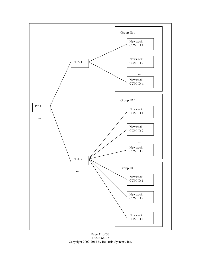

Page 31 of 33 182-0064-02 Copyright 2009-2012 by Bellatrix Systems, Inc.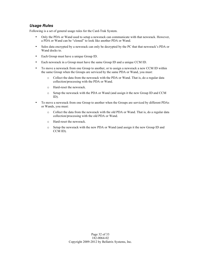## *Usage Rules*

Following is a set of general usage rules for the Card-Trak System.

- Only the PDA or Wand used to setup a newsrack can communicate with that newsrack. However, a PDA or Wand can be "cloned" to look like another PDA or Wand.
- Sales data encrypted by a newsrack can only be decrypted by the PC that that newsrack's PDA or Wand docks to.
- Each Group must have a unique Group ID.
- Each newsrack in a Group must have the same Group ID and a unique CCM ID.
- To move a newsrack from one Group to another, or to assign a newsrack a new CCM ID within the same Group when the Groups are serviced by the same PDA or Wand, you must:
	- o Collect the data from the newsrack with the PDA or Wand. That is, do a regular data collection/processing with the PDA or Wand.
	- o Hard-reset the newsrack.
	- o Setup the newsrack with the PDA or Wand (and assign it the new Group ID and CCM ID).
- To move a newsrack from one Group to another when the Groups are serviced by different PDAs or Wands, you must:
	- o Collect the data from the newsrack with the old PDA or Wand. That is, do a regular data collection/processing with the old PDA or Wand.
	- o Hard-reset the newsrack.
	- o Setup the newsrack with the new PDA or Wand (and assign it the new Group ID and CCM ID).